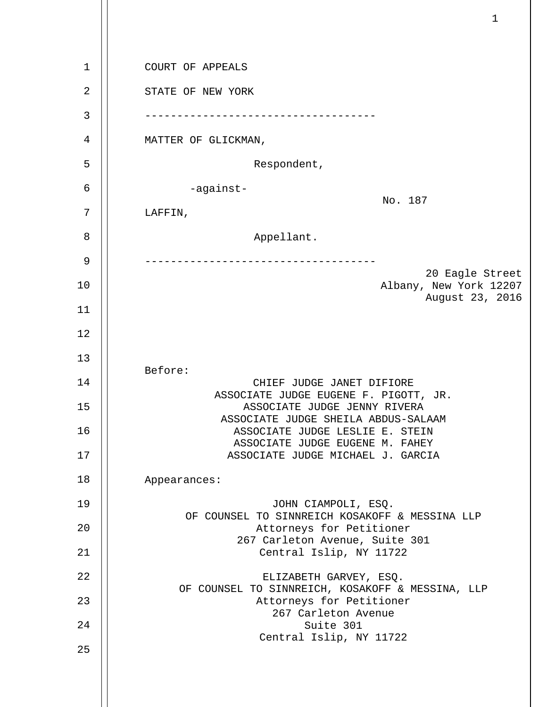1 2 3 4 5 6 7 8 9 10 11 12 13 14 15 16 17 18 19 20 21 22 23 24 25 COURT OF APPEALS STATE OF NEW YORK ------------------------------------ MATTER OF GLICKMAN, Respondent, -against- No. 187 LAFFIN, Appellant. ------------------------------------ 20 Eagle Street Albany, New York 12207 August 23, 2016 Before: CHIEF JUDGE JANET DIFIORE ASSOCIATE JUDGE EUGENE F. PIGOTT, JR. ASSOCIATE JUDGE JENNY RIVERA ASSOCIATE JUDGE SHEILA ABDUS-SALAAM ASSOCIATE JUDGE LESLIE E. STEIN ASSOCIATE JUDGE EUGENE M. FAHEY ASSOCIATE JUDGE MICHAEL J. GARCIA Appearances: JOHN CIAMPOLI, ESQ. OF COUNSEL TO SINNREICH KOSAKOFF & MESSINA LLP Attorneys for Petitioner 267 Carleton Avenue, Suite 301 Central Islip, NY 11722 ELIZABETH GARVEY, ESQ. OF COUNSEL TO SINNREICH, KOSAKOFF & MESSINA, LLP Attorneys for Petitioner 267 Carleton Avenue Suite 301 Central Islip, NY 11722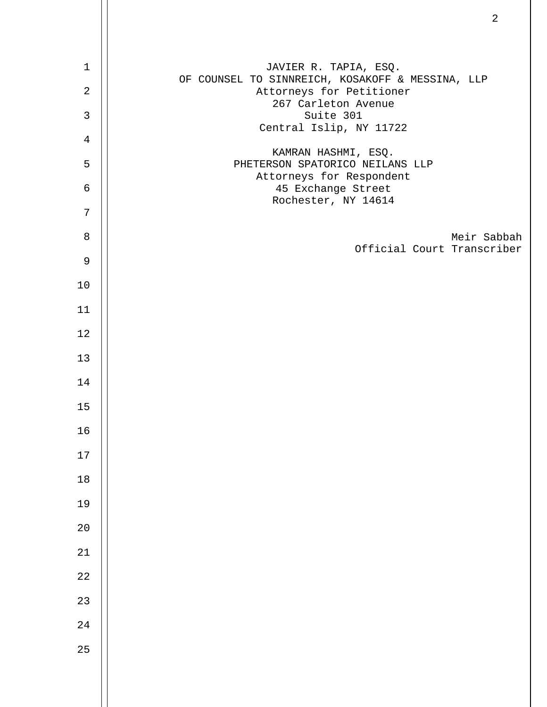| $1\,$          | JAVIER R. TAPIA, ESQ.<br>OF COUNSEL TO SINNREICH, KOSAKOFF & MESSINA, LLP |
|----------------|---------------------------------------------------------------------------|
| $\sqrt{2}$     | Attorneys for Petitioner<br>267 Carleton Avenue                           |
| $\mathbf{3}$   | Suite 301<br>Central Islip, NY 11722                                      |
| $\overline{4}$ |                                                                           |
| 5              | KAMRAN HASHMI, ESQ.<br>PHETERSON SPATORICO NEILANS LLP                    |
| $\epsilon$     | Attorneys for Respondent<br>45 Exchange Street                            |
| 7              | Rochester, NY 14614                                                       |
| $\,8\,$        | Meir Sabbah                                                               |
| $\mathsf 9$    | Official Court Transcriber                                                |
| 10             |                                                                           |
| 11             |                                                                           |
| 12             |                                                                           |
| 13             |                                                                           |
| 14             |                                                                           |
| 15             |                                                                           |
| 16             |                                                                           |
| $17\,$         |                                                                           |
| $18\,$         |                                                                           |
| 19             |                                                                           |
| 20             |                                                                           |
| $21\,$         |                                                                           |
| $2\sqrt{2}$    |                                                                           |
| 23             |                                                                           |
| $2\sqrt{4}$    |                                                                           |
| 25             |                                                                           |
|                |                                                                           |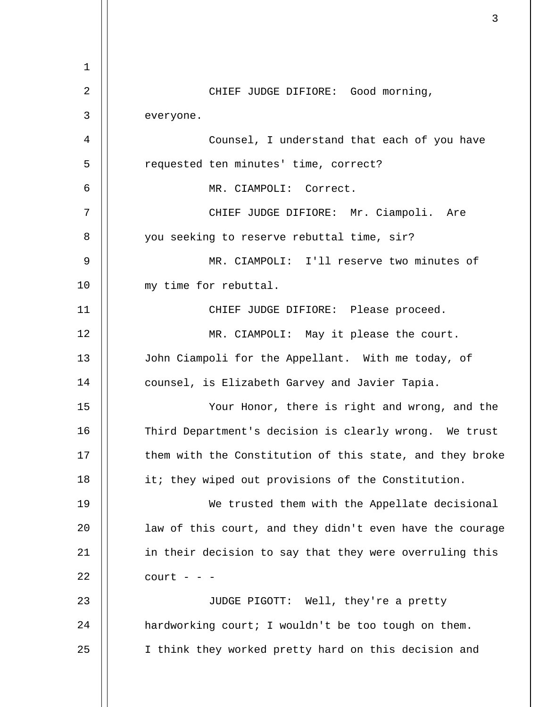1 2 3 4 5 6 7 8 9 10 11 12 13 14 15 16 17 18 19  $20^{\circ}$ 21 22 23 24 25 CHIEF JUDGE DIFIORE: Good morning, everyone. Counsel, I understand that each of you have requested ten minutes' time, correct? MR. CIAMPOLI: Correct. CHIEF JUDGE DIFIORE: Mr. Ciampoli. Are you seeking to reserve rebuttal time, sir? MR. CIAMPOLI: I'll reserve two minutes of my time for rebuttal. CHIEF JUDGE DIFIORE: Please proceed. MR. CIAMPOLI: May it please the court. John Ciampoli for the Appellant. With me today, of counsel, is Elizabeth Garvey and Javier Tapia. Your Honor, there is right and wrong, and the Third Department's decision is clearly wrong. We trust them with the Constitution of this state, and they broke it; they wiped out provisions of the Constitution. We trusted them with the Appellate decisional law of this court, and they didn't even have the courage in their decision to say that they were overruling this  $court - -$ JUDGE PIGOTT: Well, they're a pretty hardworking court; I wouldn't be too tough on them. I think they worked pretty hard on this decision and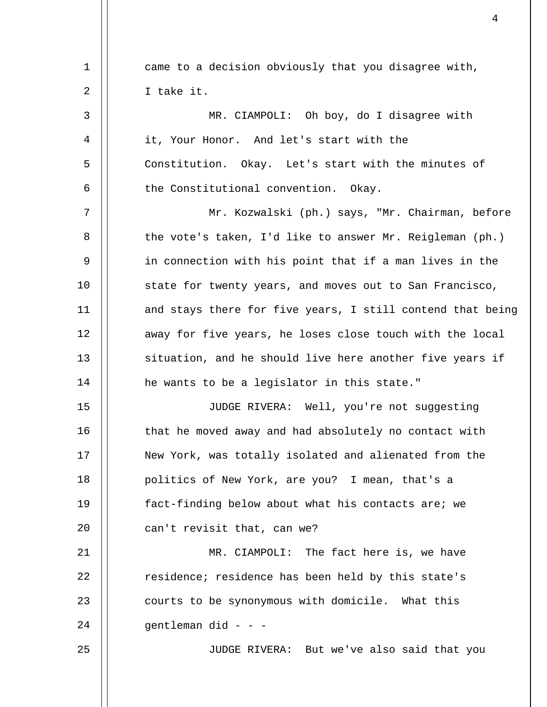| 1  | came to a decision obviously that you disagree with,       |
|----|------------------------------------------------------------|
| 2  | I take it.                                                 |
| 3  | MR. CIAMPOLI: Oh boy, do I disagree with                   |
| 4  | it, Your Honor. And let's start with the                   |
| 5  | Constitution. Okay. Let's start with the minutes of        |
| 6  | the Constitutional convention. Okay.                       |
| 7  | Mr. Kozwalski (ph.) says, "Mr. Chairman, before            |
| 8  | the vote's taken, I'd like to answer Mr. Reigleman (ph.)   |
| 9  | in connection with his point that if a man lives in the    |
| 10 | state for twenty years, and moves out to San Francisco,    |
| 11 | and stays there for five years, I still contend that being |
| 12 | away for five years, he loses close touch with the local   |
| 13 | situation, and he should live here another five years if   |
| 14 | he wants to be a legislator in this state."                |
| 15 | JUDGE RIVERA: Well, you're not suggesting                  |
| 16 | that he moved away and had absolutely no contact with      |
| 17 | New York, was totally isolated and alienated from the      |
| 18 | politics of New York, are you? I mean, that's a            |
| 19 | fact-finding below about what his contacts are; we         |
| 20 | can't revisit that, can we?                                |
| 21 | MR. CIAMPOLI: The fact here is, we have                    |
| 22 | residence; residence has been held by this state's         |
| 23 | courts to be synonymous with domicile. What this           |
| 24 | gentleman did - - -                                        |
| 25 | JUDGE RIVERA: But we've also said that you                 |
|    |                                                            |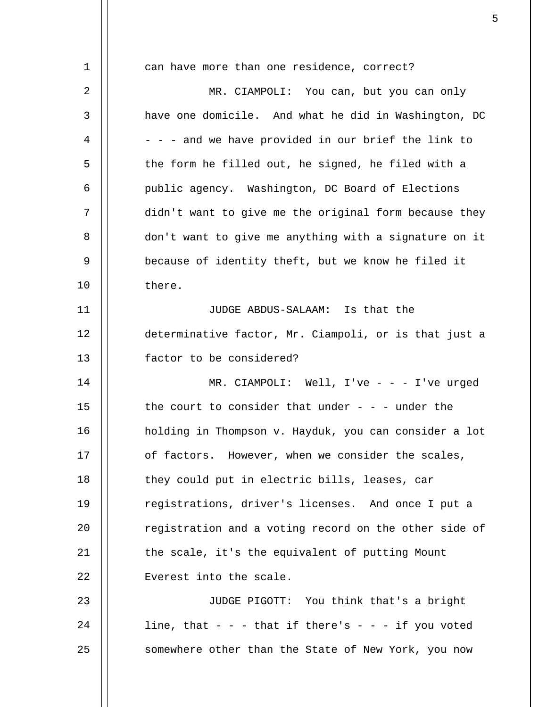1 2 3 4 5 6 7 8 9 10 11 12 13 14 15 16 17 18 19 20 21 22 23 24 25 can have more than one residence, correct? MR. CIAMPOLI: You can, but you can only have one domicile. And what he did in Washington, DC - - - and we have provided in our brief the link to the form he filled out, he signed, he filed with a public agency. Washington, DC Board of Elections didn't want to give me the original form because they don't want to give me anything with a signature on it because of identity theft, but we know he filed it there. JUDGE ABDUS-SALAAM: Is that the determinative factor, Mr. Ciampoli, or is that just a factor to be considered? MR. CIAMPOLI: Well, I've - - - I've urged the court to consider that under  $-$  -  $-$  under the holding in Thompson v. Hayduk, you can consider a lot of factors. However, when we consider the scales, they could put in electric bills, leases, car registrations, driver's licenses. And once I put a registration and a voting record on the other side of the scale, it's the equivalent of putting Mount Everest into the scale. JUDGE PIGOTT: You think that's a bright line, that  $- -$  - that if there's  $- -$  if you voted somewhere other than the State of New York, you now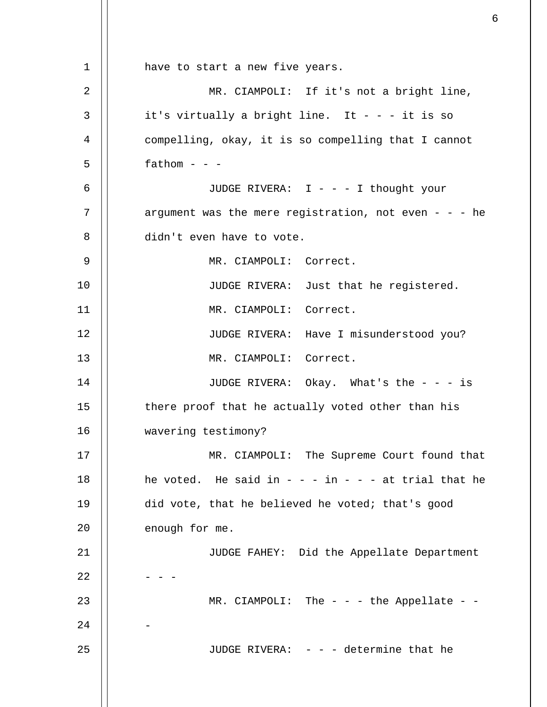1 2 3 4 5 6 7 8 9 10 11 12 13 14 15 16 17 18 19 20 21 22 23 24 25 have to start a new five years. MR. CIAMPOLI: If it's not a bright line, it's virtually a bright line. It  $- - i$  it is so compelling, okay, it is so compelling that I cannot  $f$ athom - - -JUDGE RIVERA: I - - - I thought your argument was the mere registration, not even  $- -$  he didn't even have to vote. MR. CIAMPOLI: Correct. JUDGE RIVERA: Just that he registered. MR. CIAMPOLI: Correct. JUDGE RIVERA: Have I misunderstood you? MR. CIAMPOLI: Correct. JUDGE RIVERA: Okay. What's the - - - is there proof that he actually voted other than his wavering testimony? MR. CIAMPOLI: The Supreme Court found that he voted. He said in  $- - i$ n  $- -$  at trial that he did vote, that he believed he voted; that's good enough for me. JUDGE FAHEY: Did the Appellate Department - - - MR. CIAMPOLI: The  $-$  the Appellate  $-$ - JUDGE RIVERA: - - - determine that he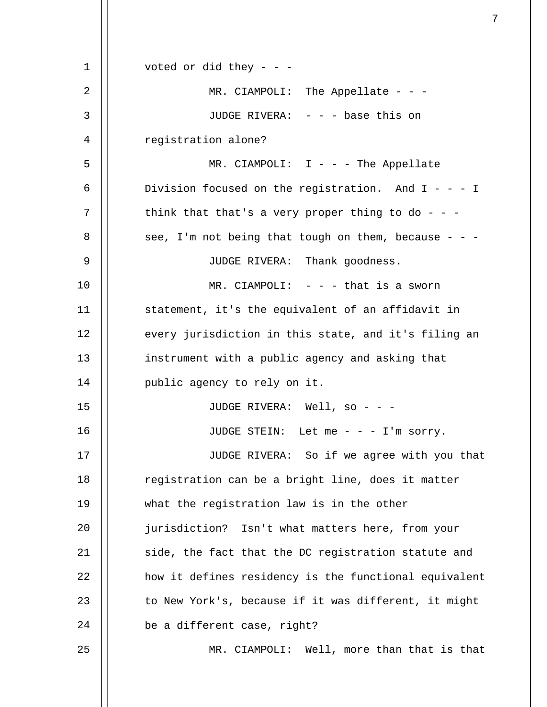| 1  | voted or did they - - -                               |
|----|-------------------------------------------------------|
| 2  | MR. CIAMPOLI: The Appellate - - -                     |
| 3  | JUDGE RIVERA: - - - base this on                      |
| 4  | registration alone?                                   |
| 5  | MR. CIAMPOLI: $I - -$ The Appellate                   |
| 6  | Division focused on the registration. And $I - - - I$ |
| 7  | think that that's a very proper thing to do - - -     |
| 8  | see, I'm not being that tough on them, because - - -  |
| 9  | JUDGE RIVERA: Thank goodness.                         |
| 10 | MR. CIAMPOLI: $-$ - $-$ that is a sworn               |
| 11 | statement, it's the equivalent of an affidavit in     |
| 12 | every jurisdiction in this state, and it's filing an  |
| 13 | instrument with a public agency and asking that       |
| 14 | public agency to rely on it.                          |
| 15 | JUDGE RIVERA: Well, so - - -                          |
| 16 | JUDGE STEIN: Let me - - - I'm sorry.                  |
| 17 | JUDGE RIVERA: So if we agree with you that            |
| 18 | registration can be a bright line, does it matter     |
| 19 | what the registration law is in the other             |
| 20 | jurisdiction? Isn't what matters here, from your      |
| 21 | side, the fact that the DC registration statute and   |
| 22 | how it defines residency is the functional equivalent |
| 23 | to New York's, because if it was different, it might  |
| 24 | be a different case, right?                           |
| 25 | MR. CIAMPOLI: Well, more than that is that            |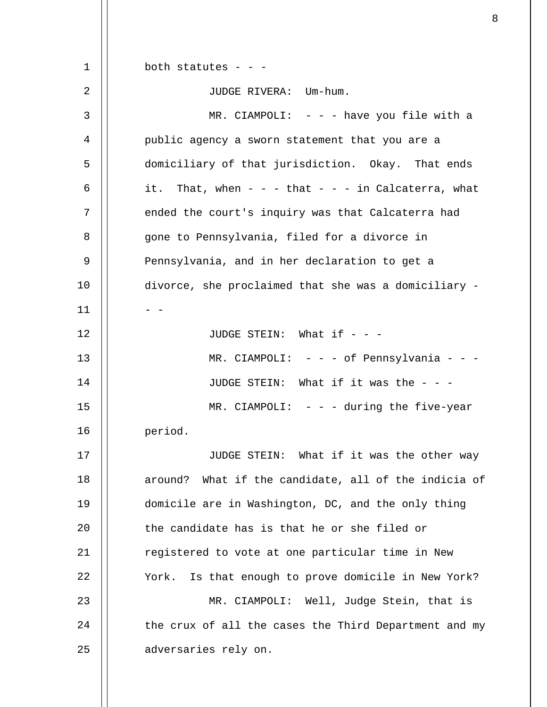1 2 3 4 5 6 7 8 9 10 11 12 13 14 15 16 17 18 19  $20^{\circ}$ 21 22 23 24 25 both statutes - - -JUDGE RIVERA: Um-hum. MR. CIAMPOLI:  $- -$  have you file with a public agency a sworn statement that you are a domiciliary of that jurisdiction. Okay. That ends it. That, when  $- -$  - that  $- -$  in Calcaterra, what ended the court's inquiry was that Calcaterra had gone to Pennsylvania, filed for a divorce in Pennsylvania, and in her declaration to get a divorce, she proclaimed that she was a domiciliary - - - JUDGE STEIN: What if  $-$  -MR. CIAMPOLI: - - - of Pennsylvania - - -JUDGE STEIN: What if it was the - - -  $MR. CIAMPOLI: - - - during the five-year$ period. JUDGE STEIN: What if it was the other way around? What if the candidate, all of the indicia of domicile are in Washington, DC, and the only thing the candidate has is that he or she filed or registered to vote at one particular time in New York. Is that enough to prove domicile in New York? MR. CIAMPOLI: Well, Judge Stein, that is the crux of all the cases the Third Department and my adversaries rely on.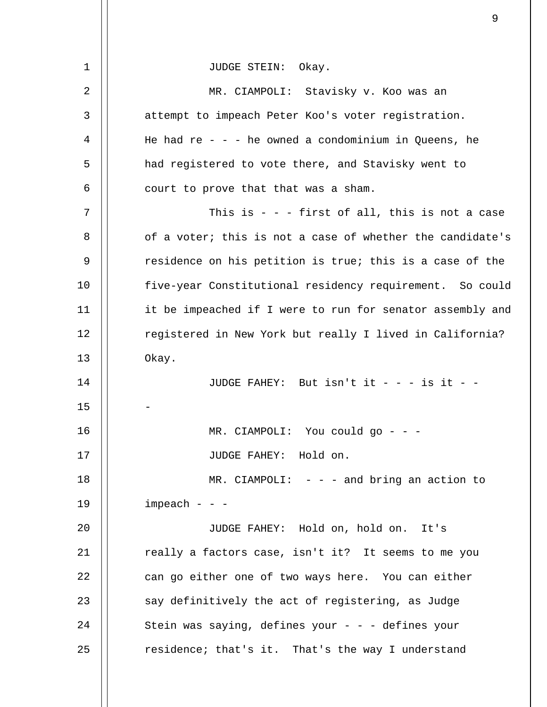| $\mathbf 1$    | JUDGE STEIN: Okay.                                        |
|----------------|-----------------------------------------------------------|
| $\overline{2}$ | MR. CIAMPOLI: Stavisky v. Koo was an                      |
| 3              | attempt to impeach Peter Koo's voter registration.        |
| 4              | He had re - - - he owned a condominium in Queens, he      |
| 5              | had registered to vote there, and Stavisky went to        |
| 6              | court to prove that that was a sham.                      |
| 7              | This is $-$ - first of all, this is not a case            |
| 8              | of a voter; this is not a case of whether the candidate's |
| 9              | residence on his petition is true; this is a case of the  |
| 10             | five-year Constitutional residency requirement. So could  |
| 11             | it be impeached if I were to run for senator assembly and |
| 12             | registered in New York but really I lived in California?  |
| 13             | Okay.                                                     |
| 14             | JUDGE FAHEY: But isn't it - - - is it - -                 |
| 15             |                                                           |
| 16             | MR. CIAMPOLI: You could go - - -                          |
| 17             | JUDGE FAHEY: Hold on.                                     |
| 18             | MR. CIAMPOLI: $-$ - $-$ and bring an action to            |
| 19             | $impeak - -$                                              |
| 20             | JUDGE FAHEY: Hold on, hold on. It's                       |
| 21             | really a factors case, isn't it? It seems to me you       |
| 22             | can go either one of two ways here. You can either        |
| 23             | say definitively the act of registering, as Judge         |
| 24             | Stein was saying, defines your - - - defines your         |
| 25             | residence; that's it. That's the way I understand         |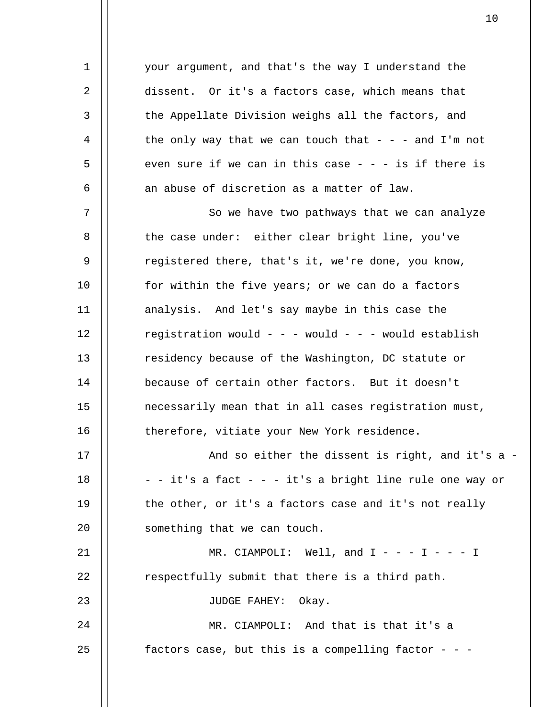your argument, and that's the way I understand the dissent. Or it's a factors case, which means that the Appellate Division weighs all the factors, and the only way that we can touch that  $-$  - - and I'm not even sure if we can in this case  $- - i$ s if there is an abuse of discretion as a matter of law.

1

2

3

4

5

6

23

7 8 9 10 11 12 13 14 15 16 So we have two pathways that we can analyze the case under: either clear bright line, you've registered there, that's it, we're done, you know, for within the five years; or we can do a factors analysis. And let's say maybe in this case the registration would - - - would - - - would establish residency because of the Washington, DC statute or because of certain other factors. But it doesn't necessarily mean that in all cases registration must, therefore, vitiate your New York residence.

17 18 19  $20^{\circ}$ And so either the dissent is right, and it's a - - - it's a fact - - - it's a bright line rule one way or the other, or it's a factors case and it's not really something that we can touch.

21 22 MR. CIAMPOLI: Well, and  $I - - - I - - I$ respectfully submit that there is a third path.

JUDGE FAHEY: Okay.

24 25 MR. CIAMPOLI: And that is that it's a factors case, but this is a compelling factor  $-$  -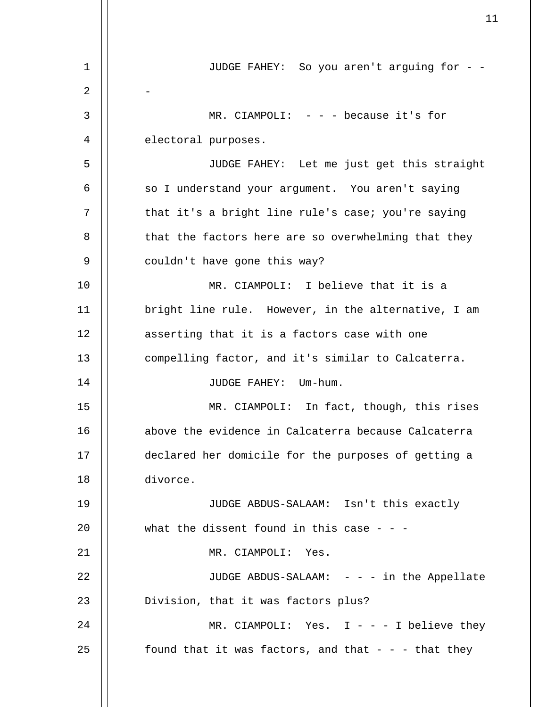1 2 3 4 5 6 7 8 9 10 11 12 13 14 15 16 17 18 19  $20^{\circ}$ 21 22 23 24 25 JUDGE FAHEY: So you aren't arguing for - - - MR. CIAMPOLI:  $- -$  - because it's for electoral purposes. JUDGE FAHEY: Let me just get this straight so I understand your argument. You aren't saying that it's a bright line rule's case; you're saying that the factors here are so overwhelming that they couldn't have gone this way? MR. CIAMPOLI: I believe that it is a bright line rule. However, in the alternative, I am asserting that it is a factors case with one compelling factor, and it's similar to Calcaterra. JUDGE FAHEY: Um-hum. MR. CIAMPOLI: In fact, though, this rises above the evidence in Calcaterra because Calcaterra declared her domicile for the purposes of getting a divorce. JUDGE ABDUS-SALAAM: Isn't this exactly what the dissent found in this case  $-$  -MR. CIAMPOLI: Yes. JUDGE ABDUS-SALAAM: - - - in the Appellate Division, that it was factors plus? MR. CIAMPOLI: Yes.  $I - - - I$  believe they found that it was factors, and that  $-$  - - that they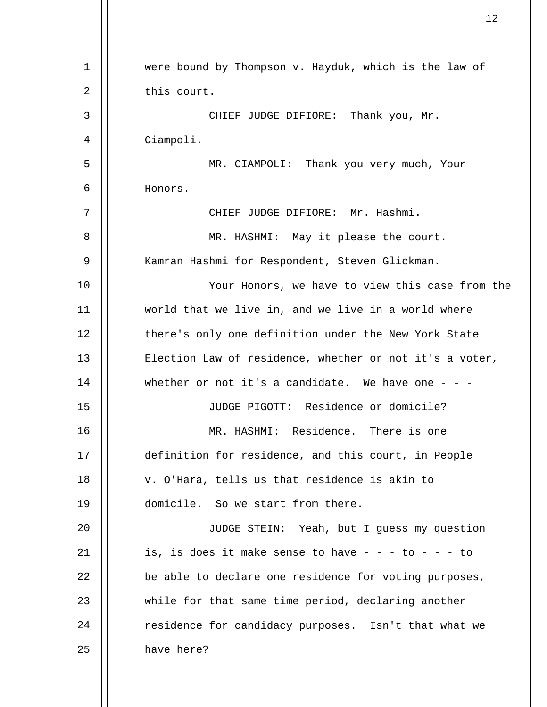| 1  | were bound by Thompson v. Hayduk, which is the law of   |
|----|---------------------------------------------------------|
| 2  | this court.                                             |
| 3  | CHIEF JUDGE DIFIORE: Thank you, Mr.                     |
| 4  | Ciampoli.                                               |
| 5  | MR. CIAMPOLI: Thank you very much, Your                 |
| 6  | Honors.                                                 |
| 7  | CHIEF JUDGE DIFIORE: Mr. Hashmi.                        |
| 8  | MR. HASHMI: May it please the court.                    |
| 9  | Kamran Hashmi for Respondent, Steven Glickman.          |
| 10 | Your Honors, we have to view this case from the         |
| 11 | world that we live in, and we live in a world where     |
| 12 | there's only one definition under the New York State    |
| 13 | Election Law of residence, whether or not it's a voter, |
| 14 | whether or not it's a candidate. We have one - - -      |
| 15 | JUDGE PIGOTT: Residence or domicile?                    |
| 16 | MR. HASHMI: Residence. There is one                     |
| 17 | definition for residence, and this court, in People     |
| 18 | v. O'Hara, tells us that residence is akin to           |
| 19 | domicile. So we start from there.                       |
| 20 | JUDGE STEIN: Yeah, but I guess my question              |
| 21 | is, is does it make sense to have $- - -$ to $- - -$ to |
| 22 | be able to declare one residence for voting purposes,   |
| 23 | while for that same time period, declaring another      |
| 24 | residence for candidacy purposes. Isn't that what we    |
| 25 | have here?                                              |
|    |                                                         |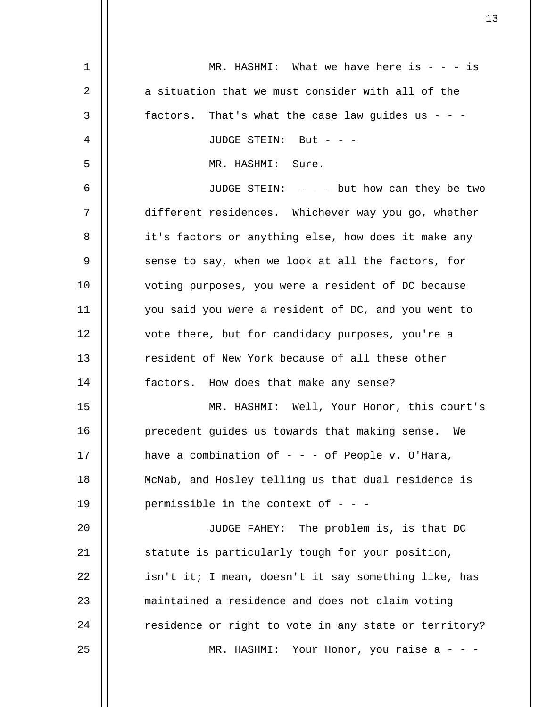| 1  | MR. HASHMI: What we have here is $- - i s$            |
|----|-------------------------------------------------------|
| 2  | a situation that we must consider with all of the     |
| 3  | factors. That's what the case law guides us - - -     |
| 4  | JUDGE STEIN: But - - -                                |
| 5  | MR. HASHMI: Sure.                                     |
| 6  | JUDGE STEIN: $-$ - $-$ but how can they be two        |
| 7  | different residences. Whichever way you go, whether   |
| 8  | it's factors or anything else, how does it make any   |
| 9  | sense to say, when we look at all the factors, for    |
| 10 | voting purposes, you were a resident of DC because    |
| 11 | you said you were a resident of DC, and you went to   |
| 12 | vote there, but for candidacy purposes, you're a      |
| 13 | resident of New York because of all these other       |
| 14 | factors. How does that make any sense?                |
| 15 | MR. HASHMI: Well, Your Honor, this court's            |
| 16 | precedent quides us towards that making sense. We     |
| 17 | have a combination of $-$ - $-$ of People v. O'Hara,  |
| 18 | McNab, and Hosley telling us that dual residence is   |
| 19 | permissible in the context of $-$ - $-$               |
| 20 | JUDGE FAHEY: The problem is, is that DC               |
| 21 | statute is particularly tough for your position,      |
| 22 | isn't it; I mean, doesn't it say something like, has  |
| 23 | maintained a residence and does not claim voting      |
| 24 | residence or right to vote in any state or territory? |
| 25 | MR. HASHMI: Your Honor, you raise a - - -             |
|    |                                                       |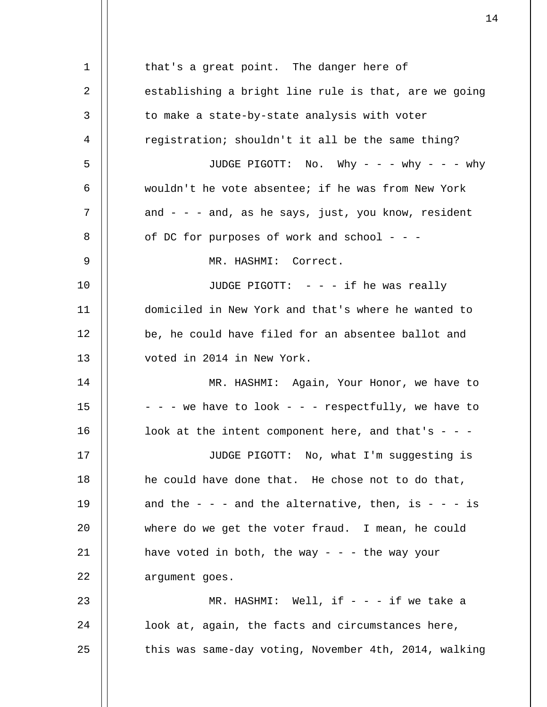1 2 3 4 5 6 7 8 9 10 11 12 13 14 15 16 17 18 19 20 21 22 23 24 25 that's a great point. The danger here of establishing a bright line rule is that, are we going to make a state-by-state analysis with voter registration; shouldn't it all be the same thing? JUDGE PIGOTT: No. Why - - - why - - - why wouldn't he vote absentee; if he was from New York and  $-$  -  $-$  and, as he says, just, you know, resident of DC for purposes of work and school - - - MR. HASHMI: Correct. JUDGE PIGOTT:  $- - i f$  he was really domiciled in New York and that's where he wanted to be, he could have filed for an absentee ballot and voted in 2014 in New York. MR. HASHMI: Again, Your Honor, we have to  $- - -$  we have to look  $- -$  - respectfully, we have to look at the intent component here, and that's  $-$  -JUDGE PIGOTT: No, what I'm suggesting is he could have done that. He chose not to do that, and the  $-$  -  $-$  and the alternative, then, is  $-$  -  $-$  is where do we get the voter fraud. I mean, he could have voted in both, the way  $- -$  - the way your argument goes. MR. HASHMI: Well, if  $- - i$  if we take a look at, again, the facts and circumstances here, this was same-day voting, November 4th, 2014, walking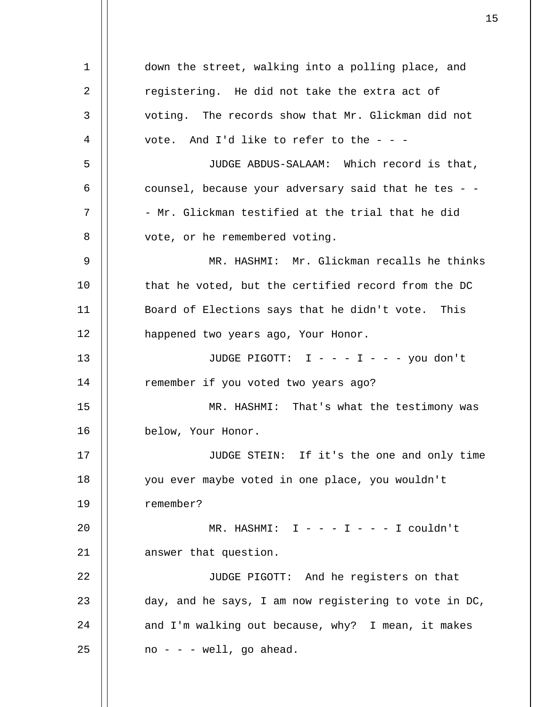1 2 3 4 5 6 7 8 9 10 11 12 13 14 15 16 17 18 19 20 21 22 23 24 25 down the street, walking into a polling place, and registering. He did not take the extra act of voting. The records show that Mr. Glickman did not vote. And I'd like to refer to the  $-$  -JUDGE ABDUS-SALAAM: Which record is that, counsel, because your adversary said that he tes - - - Mr. Glickman testified at the trial that he did vote, or he remembered voting. MR. HASHMI: Mr. Glickman recalls he thinks that he voted, but the certified record from the DC Board of Elections says that he didn't vote. This happened two years ago, Your Honor. JUDGE PIGOTT: I - - - I - - - you don't remember if you voted two years ago? MR. HASHMI: That's what the testimony was below, Your Honor. JUDGE STEIN: If it's the one and only time you ever maybe voted in one place, you wouldn't remember?  $MR. HASHMI: I - - - I - - I couldn't$ answer that question. JUDGE PIGOTT: And he registers on that day, and he says, I am now registering to vote in DC, and I'm walking out because, why? I mean, it makes  $no - - - well, go ahead.$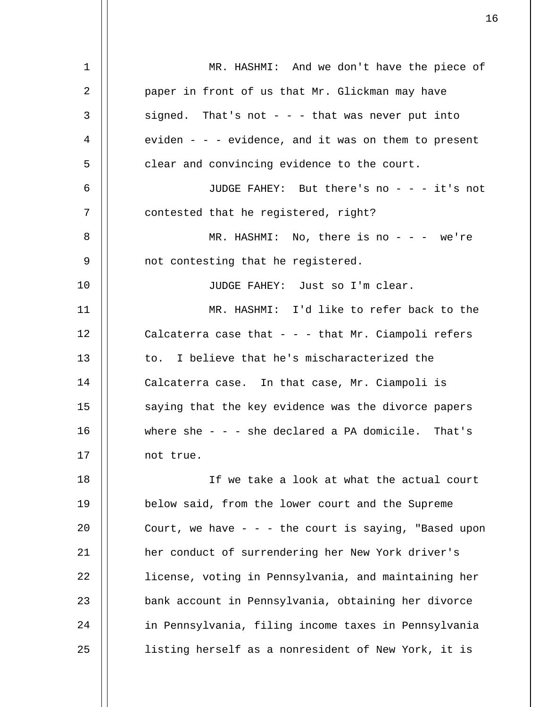| $\mathbf 1$ | MR. HASHMI: And we don't have the piece of                |
|-------------|-----------------------------------------------------------|
| 2           | paper in front of us that Mr. Glickman may have           |
| 3           | signed. That's not - - - that was never put into          |
| 4           | eviden $-$ - $-$ evidence, and it was on them to present  |
| 5           | clear and convincing evidence to the court.               |
| 6           | JUDGE FAHEY: But there's no - - - it's not                |
| 7           | contested that he registered, right?                      |
| 8           | MR. HASHMI: No, there is no - - - we're                   |
| 9           | not contesting that he registered.                        |
| 10          | JUDGE FAHEY: Just so I'm clear.                           |
| 11          | MR. HASHMI: I'd like to refer back to the                 |
| 12          | Calcaterra case that $-$ - $-$ that Mr. Ciampoli refers   |
| 13          | to. I believe that he's mischaracterized the              |
| 14          | Calcaterra case. In that case, Mr. Ciampoli is            |
| 15          | saying that the key evidence was the divorce papers       |
| 16          | where she - - - she declared a PA domicile. That's        |
| 17          | not true.                                                 |
| 18          | If we take a look at what the actual court                |
| 19          | below said, from the lower court and the Supreme          |
| 20          | Court, we have $-$ - $-$ the court is saying, "Based upon |
| 21          | her conduct of surrendering her New York driver's         |
| 22          | license, voting in Pennsylvania, and maintaining her      |
| 23          | bank account in Pennsylvania, obtaining her divorce       |
| 24          | in Pennsylvania, filing income taxes in Pennsylvania      |
| 25          | listing herself as a nonresident of New York, it is       |
|             |                                                           |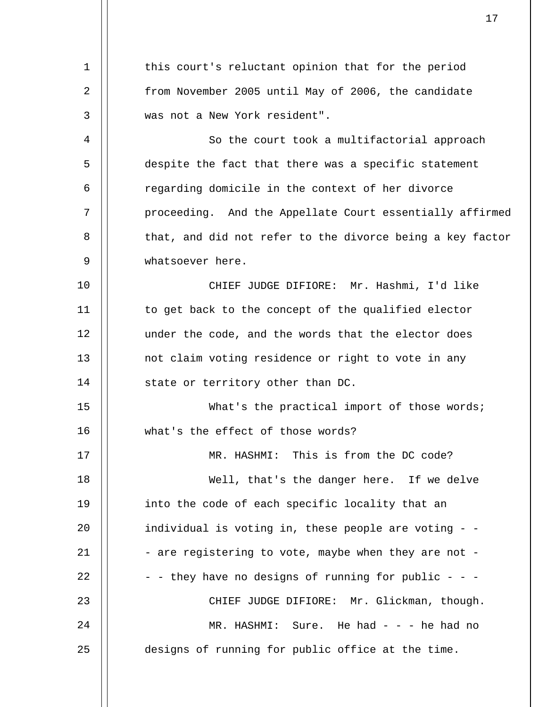1 2 3 4 5 6 7 8 9 10 11 12 13 14 15 16 17 18 19  $20^{\circ}$ 21 22 23 24 25 this court's reluctant opinion that for the period from November 2005 until May of 2006, the candidate was not a New York resident". So the court took a multifactorial approach despite the fact that there was a specific statement regarding domicile in the context of her divorce proceeding. And the Appellate Court essentially affirmed that, and did not refer to the divorce being a key factor whatsoever here. CHIEF JUDGE DIFIORE: Mr. Hashmi, I'd like to get back to the concept of the qualified elector under the code, and the words that the elector does not claim voting residence or right to vote in any state or territory other than DC. What's the practical import of those words; what's the effect of those words? MR. HASHMI: This is from the DC code? Well, that's the danger here. If we delve into the code of each specific locality that an individual is voting in, these people are voting - - - are registering to vote, maybe when they are not - - - they have no designs of running for public - - -CHIEF JUDGE DIFIORE: Mr. Glickman, though. MR. HASHMI: Sure. He had  $-$  -  $-$  he had no designs of running for public office at the time.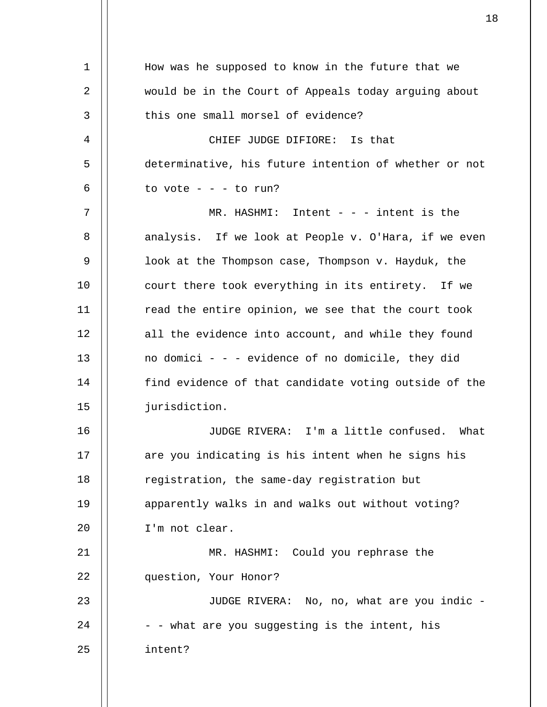| 1  | How was he supposed to know in the future that we     |
|----|-------------------------------------------------------|
| 2  | would be in the Court of Appeals today arguing about  |
| 3  | this one small morsel of evidence?                    |
| 4  | CHIEF JUDGE DIFIORE: Is that                          |
| 5  | determinative, his future intention of whether or not |
| 6  | to vote $- - -$ to run?                               |
| 7  | MR. HASHMI: Intent $ -$ intent is the                 |
| 8  | analysis. If we look at People v. O'Hara, if we even  |
| 9  | look at the Thompson case, Thompson v. Hayduk, the    |
| 10 | court there took everything in its entirety. If we    |
| 11 | read the entire opinion, we see that the court took   |
| 12 | all the evidence into account, and while they found   |
| 13 | no domici - - - evidence of no domicile, they did     |
| 14 | find evidence of that candidate voting outside of the |
| 15 | jurisdiction.                                         |
| 16 | JUDGE RIVERA: I'm a little confused. What             |
| 17 | are you indicating is his intent when he signs his    |
| 18 | registration, the same-day registration but           |
| 19 | apparently walks in and walks out without voting?     |
| 20 | I'm not clear.                                        |
| 21 | MR. HASHMI: Could you rephrase the                    |
| 22 | question, Your Honor?                                 |
| 23 | JUDGE RIVERA: No, no, what are you indic -            |
| 24 | - - what are you suggesting is the intent, his        |
| 25 | intent?                                               |
|    |                                                       |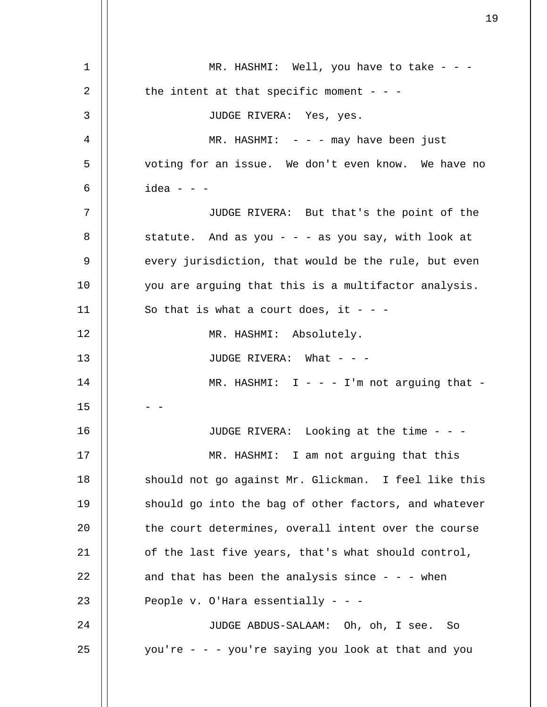| $\mathbf 1$    | MR. HASHMI: Well, you have to take - - -              |
|----------------|-------------------------------------------------------|
| $\overline{2}$ | the intent at that specific moment - - -              |
| 3              | JUDGE RIVERA: Yes, yes.                               |
| 4              | $MR. HASHMI: - - - may have been just$                |
| 5              | voting for an issue. We don't even know. We have no   |
| 6              | idea - - -                                            |
| 7              | JUDGE RIVERA: But that's the point of the             |
| 8              | statute. And as you - - - as you say, with look at    |
| 9              | every jurisdiction, that would be the rule, but even  |
| 10             | you are arguing that this is a multifactor analysis.  |
| 11             | So that is what a court does, it - - -                |
| 12             | MR. HASHMI: Absolutely.                               |
| 13             | JUDGE RIVERA: What - - -                              |
| 14             | MR. HASHMI: $I - - - I'm$ not arguing that -          |
| 15             |                                                       |
| 16             | JUDGE RIVERA: Looking at the time - - -               |
| 17             | MR. HASHMI: I am not arguing that this                |
| 18             | should not go against Mr. Glickman. I feel like this  |
| 19             | should go into the bag of other factors, and whatever |
| 20             | the court determines, overall intent over the course  |
| 21             | of the last five years, that's what should control,   |
| 22             | and that has been the analysis since $- - -$ when     |
| 23             | People v. O'Hara essentially - - -                    |
| 24             | JUDGE ABDUS-SALAAM: Oh, oh, I see. So                 |
| 25             | you're - - - you're saying you look at that and you   |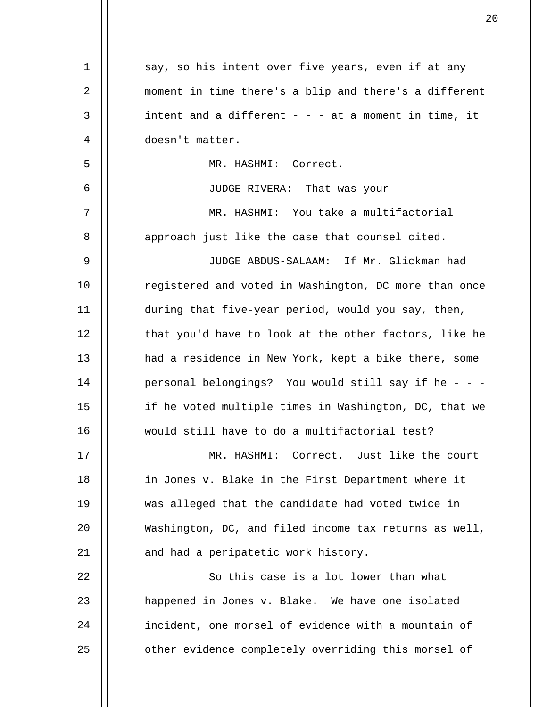| $\mathbf 1$ | say, so his intent over five years, even if at any     |
|-------------|--------------------------------------------------------|
| 2           | moment in time there's a blip and there's a different  |
| 3           | intent and a different $- - -$ at a moment in time, it |
| 4           | doesn't matter.                                        |
| 5           | MR. HASHMI: Correct.                                   |
| 6           | JUDGE RIVERA: That was your - - -                      |
| 7           | MR. HASHMI: You take a multifactorial                  |
| 8           | approach just like the case that counsel cited.        |
| 9           | JUDGE ABDUS-SALAAM: If Mr. Glickman had                |
| 10          | registered and voted in Washington, DC more than once  |
| 11          | during that five-year period, would you say, then,     |
| 12          | that you'd have to look at the other factors, like he  |
| 13          | had a residence in New York, kept a bike there, some   |
| 14          | personal belongings? You would still say if he - - -   |
| 15          | if he voted multiple times in Washington, DC, that we  |
| 16          | would still have to do a multifactorial test?          |
| 17          | MR. HASHMI: Correct. Just like the court               |
| 18          | in Jones v. Blake in the First Department where it     |
| 19          | was alleged that the candidate had voted twice in      |
| 20          | Washington, DC, and filed income tax returns as well,  |
| 21          | and had a peripatetic work history.                    |
| 22          | So this case is a lot lower than what                  |
| 23          | happened in Jones v. Blake. We have one isolated       |
| 24          | incident, one morsel of evidence with a mountain of    |
| 25          | other evidence completely overriding this morsel of    |
|             |                                                        |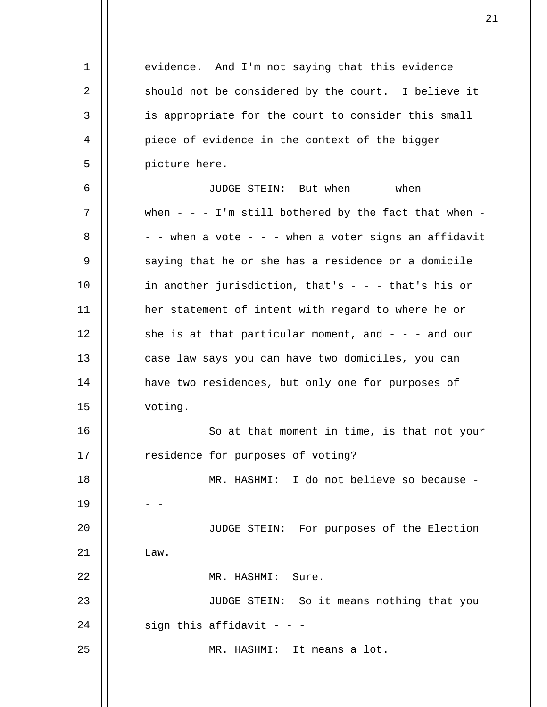1 2 3 4 5 6 7 8 9 10 11 12 13 14 15 16 17 18 19  $20^{\circ}$ 21 22 23 24 25 evidence. And I'm not saying that this evidence should not be considered by the court. I believe it is appropriate for the court to consider this small piece of evidence in the context of the bigger picture here. JUDGE STEIN: But when - - - when - - when - - - I'm still bothered by the fact that when -- - when a vote - - - when a voter signs an affidavit saying that he or she has a residence or a domicile in another jurisdiction, that's  $-$  -  $-$  that's his or her statement of intent with regard to where he or she is at that particular moment, and  $- - -$  and our case law says you can have two domiciles, you can have two residences, but only one for purposes of voting. So at that moment in time, is that not your residence for purposes of voting? MR. HASHMI: I do not believe so because - - - JUDGE STEIN: For purposes of the Election Law. MR. HASHMI: Sure. JUDGE STEIN: So it means nothing that you sign this affidavit  $-$  -MR. HASHMI: It means a lot.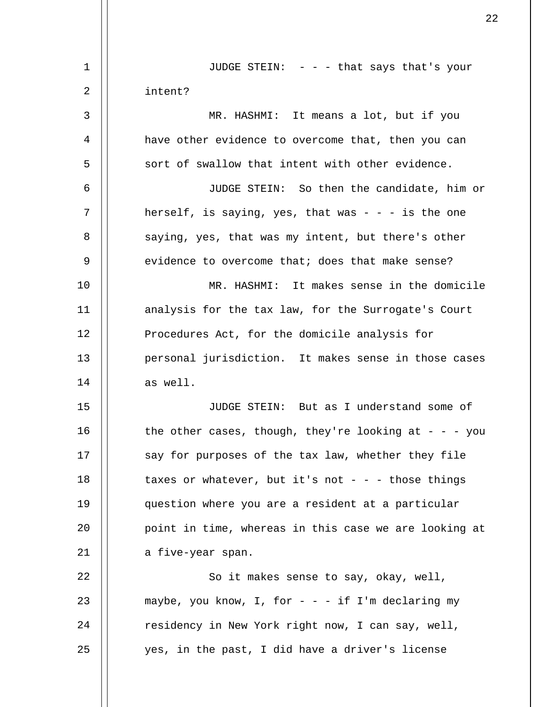| 1  | JUDGE STEIN: - - - that says that's your              |
|----|-------------------------------------------------------|
| 2  | intent?                                               |
| 3  | MR. HASHMI: It means a lot, but if you                |
| 4  | have other evidence to overcome that, then you can    |
| 5  | sort of swallow that intent with other evidence.      |
| 6  | JUDGE STEIN: So then the candidate, him or            |
| 7  | herself, is saying, yes, that was $- - i$ is the one  |
| 8  | saying, yes, that was my intent, but there's other    |
| 9  | evidence to overcome that; does that make sense?      |
| 10 | MR. HASHMI: It makes sense in the domicile            |
| 11 | analysis for the tax law, for the Surrogate's Court   |
| 12 | Procedures Act, for the domicile analysis for         |
| 13 | personal jurisdiction. It makes sense in those cases  |
| 14 | as well.                                              |
| 15 | JUDGE STEIN: But as I understand some of              |
| 16 | the other cases, though, they're looking at - - - you |
| 17 | say for purposes of the tax law, whether they file    |
| 18 | taxes or whatever, but it's not - - - those things    |
| 19 | question where you are a resident at a particular     |
| 20 | point in time, whereas in this case we are looking at |
| 21 | a five-year span.                                     |
| 22 | So it makes sense to say, okay, well,                 |
| 23 | maybe, you know, I, for - - - if I'm declaring my     |
| 24 | residency in New York right now, I can say, well,     |
| 25 | yes, in the past, I did have a driver's license       |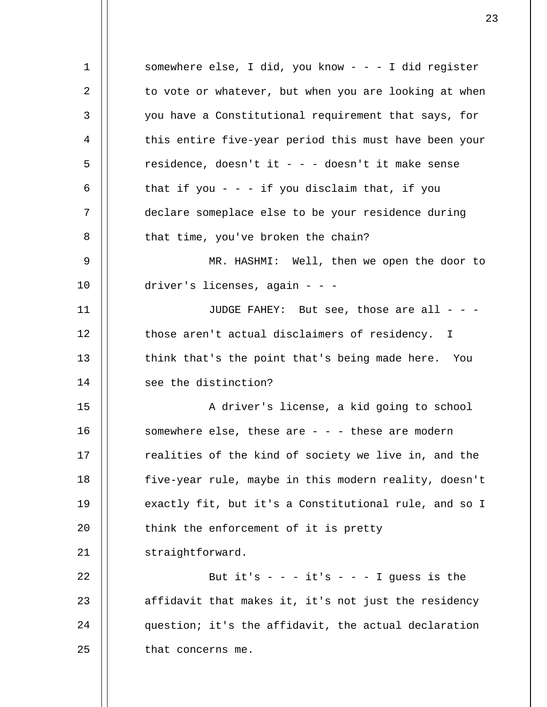1 2 3 4 5 6 7 8 9 10 11 12 13 14 15 16 17 18 19 20 21 22 23 24 25 somewhere else, I did, you know - - - I did register to vote or whatever, but when you are looking at when you have a Constitutional requirement that says, for this entire five-year period this must have been your residence, doesn't it - - - doesn't it make sense that if you  $- - i$  if you disclaim that, if you declare someplace else to be your residence during that time, you've broken the chain? MR. HASHMI: Well, then we open the door to driver's licenses, again - - - JUDGE FAHEY: But see, those are all  $-$  those aren't actual disclaimers of residency. I think that's the point that's being made here. You see the distinction? A driver's license, a kid going to school somewhere else, these are  $- -$  - these are modern realities of the kind of society we live in, and the five-year rule, maybe in this modern reality, doesn't exactly fit, but it's a Constitutional rule, and so I think the enforcement of it is pretty straightforward. But it's  $- - i$ t's  $- - 1$  guess is the affidavit that makes it, it's not just the residency question; it's the affidavit, the actual declaration that concerns me.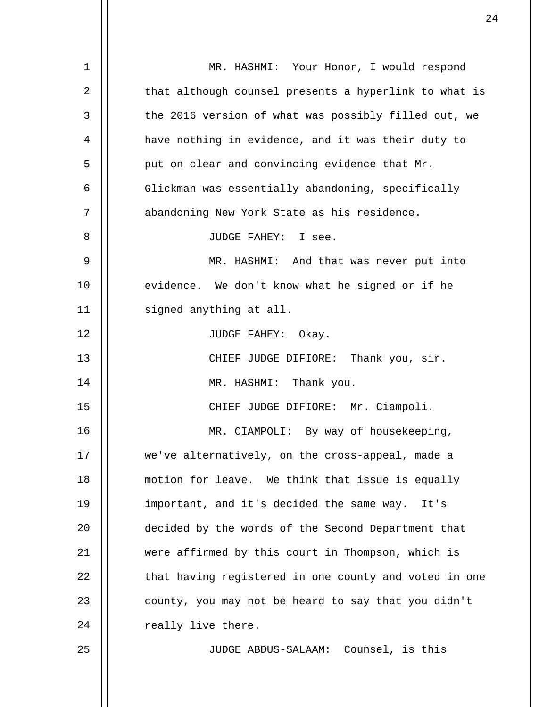| $\mathbf{1}$ | MR. HASHMI: Your Honor, I would respond               |
|--------------|-------------------------------------------------------|
| 2            | that although counsel presents a hyperlink to what is |
| 3            | the 2016 version of what was possibly filled out, we  |
| 4            | have nothing in evidence, and it was their duty to    |
| 5            | put on clear and convincing evidence that Mr.         |
| 6            | Glickman was essentially abandoning, specifically     |
| 7            | abandoning New York State as his residence.           |
| 8            | JUDGE FAHEY: I see.                                   |
| 9            | MR. HASHMI: And that was never put into               |
| 10           | evidence. We don't know what he signed or if he       |
| 11           | signed anything at all.                               |
| 12           | JUDGE FAHEY: Okay.                                    |
| 13           | CHIEF JUDGE DIFIORE: Thank you, sir.                  |
| 14           | MR. HASHMI: Thank you.                                |
| 15           | CHIEF JUDGE DIFIORE: Mr. Ciampoli.                    |
| 16           | MR. CIAMPOLI: By way of housekeeping,                 |
| 17           | we've alternatively, on the cross-appeal, made a      |
| 18           | motion for leave. We think that issue is equally      |
| 19           | important, and it's decided the same way.<br>It's     |
| 20           | decided by the words of the Second Department that    |
| 21           | were affirmed by this court in Thompson, which is     |
| 22           | that having registered in one county and voted in one |
| 23           | county, you may not be heard to say that you didn't   |
| 24           | really live there.                                    |
| 25           | JUDGE ABDUS-SALAAM: Counsel, is this                  |
|              |                                                       |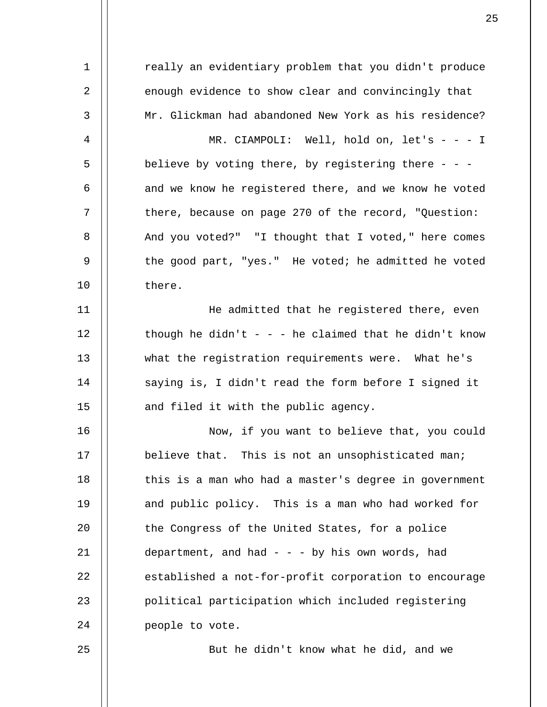1 2 3 4 5 6 7 8 9 10 11 12 13 14 15 16 17 18 19 20 21 22 23 24 25 really an evidentiary problem that you didn't produce enough evidence to show clear and convincingly that Mr. Glickman had abandoned New York as his residence? MR. CIAMPOLI: Well, hold on, let's - - - I believe by voting there, by registering there  $-$  and we know he registered there, and we know he voted there, because on page 270 of the record, "Question: And you voted?" "I thought that I voted," here comes the good part, "yes." He voted; he admitted he voted there. He admitted that he registered there, even though he didn't - - - he claimed that he didn't know what the registration requirements were. What he's saying is, I didn't read the form before I signed it and filed it with the public agency. Now, if you want to believe that, you could believe that. This is not an unsophisticated man; this is a man who had a master's degree in government and public policy. This is a man who had worked for the Congress of the United States, for a police department, and had  $- -$  - by his own words, had established a not-for-profit corporation to encourage political participation which included registering people to vote. But he didn't know what he did, and we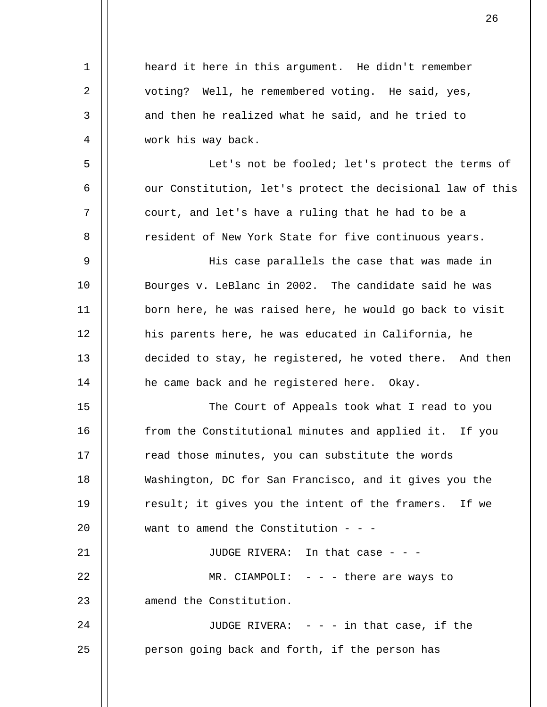| $\mathbf 1$ | heard it here in this argument. He didn't remember         |
|-------------|------------------------------------------------------------|
| 2           | voting? Well, he remembered voting. He said, yes,          |
| 3           | and then he realized what he said, and he tried to         |
| 4           | work his way back.                                         |
| 5           | Let's not be fooled; let's protect the terms of            |
| 6           | our Constitution, let's protect the decisional law of this |
| 7           | court, and let's have a ruling that he had to be a         |
| 8           | resident of New York State for five continuous years.      |
| 9           | His case parallels the case that was made in               |
| 10          | Bourges v. LeBlanc in 2002. The candidate said he was      |
| 11          | born here, he was raised here, he would go back to visit   |
| 12          | his parents here, he was educated in California, he        |
| 13          | decided to stay, he registered, he voted there. And then   |
| 14          | he came back and he registered here. Okay.                 |
| 15          | The Court of Appeals took what I read to you               |
| 16          | from the Constitutional minutes and applied it. If you     |
| 17          | read those minutes, you can substitute the words           |
| 18          | Washington, DC for San Francisco, and it gives you the     |
| 19          | result; it gives you the intent of the framers. If we      |
| 20          | want to amend the Constitution - - -                       |
| 21          | JUDGE RIVERA: In that case - - -                           |
| 22          | MR. CIAMPOLI: $-$ - $-$ there are ways to                  |
| 23          | amend the Constitution.                                    |
| 24          | JUDGE RIVERA: $- - i n$ that case, if the                  |
| 25          | person going back and forth, if the person has             |
|             |                                                            |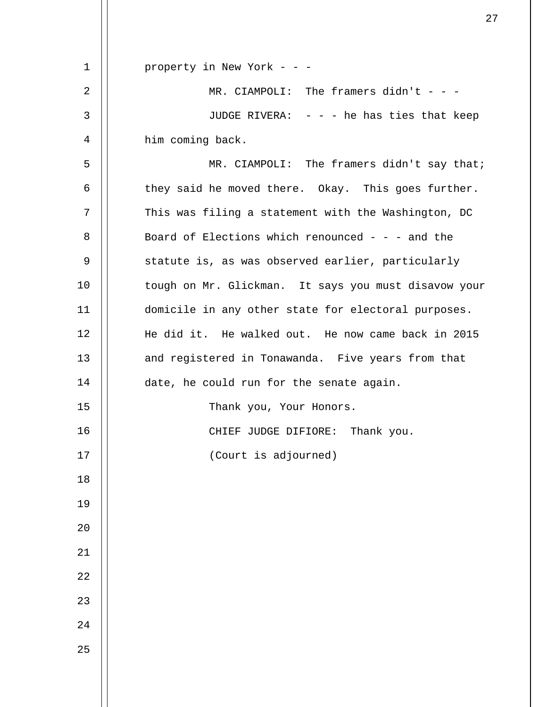| 1    | property in New York - - -                           |
|------|------------------------------------------------------|
| 2    | MR. CIAMPOLI: The framers didn't - - -               |
| 3    | JUDGE RIVERA: - - - he has ties that keep            |
| 4    | him coming back.                                     |
| 5    | MR. CIAMPOLI: The framers didn't say that;           |
| 6    | they said he moved there. Okay. This goes further.   |
| 7    | This was filing a statement with the Washington, DC  |
| 8    | Board of Elections which renounced - - - and the     |
| 9    | statute is, as was observed earlier, particularly    |
| 10   | tough on Mr. Glickman. It says you must disavow your |
| 11   | domicile in any other state for electoral purposes.  |
| 12   | He did it. He walked out. He now came back in 2015   |
| 13   | and registered in Tonawanda. Five years from that    |
| 14   | date, he could run for the senate again.             |
| 15   | Thank you, Your Honors.                              |
| 16   | CHIEF JUDGE DIFIORE: Thank you.                      |
| $17$ | (Court is adjourned)                                 |
| 18   |                                                      |
| 19   |                                                      |
| 20   |                                                      |
| 21   |                                                      |
| 22   |                                                      |
| 23   |                                                      |
| 24   |                                                      |
| 25   |                                                      |
|      |                                                      |